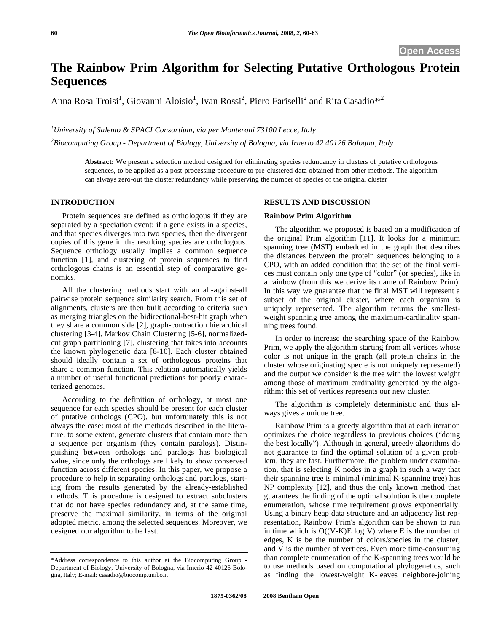# **The Rainbow Prim Algorithm for Selecting Putative Orthologous Protein Sequences**

Anna Rosa Troisi<sup>1</sup>, Giovanni Aloisio<sup>1</sup>, Ivan Rossi<sup>2</sup>, Piero Fariselli<sup>2</sup> and Rita Casadio\*<sup>,2</sup>

*1 University of Salento & SPACI Consortium, via per Monteroni 73100 Lecce, Italy* 

*2 Biocomputing Group - Department of Biology, University of Bologna, via Irnerio 42 40126 Bologna, Italy* 

**Abstract:** We present a selection method designed for eliminating species redundancy in clusters of putative orthologous sequences, to be applied as a post-processing procedure to pre-clustered data obtained from other methods. The algorithm can always zero-out the cluster redundancy while preserving the number of species of the original cluster

# **INTRODUCTION**

 Protein sequences are defined as orthologous if they are separated by a speciation event: if a gene exists in a species, and that species diverges into two species, then the divergent copies of this gene in the resulting species are orthologous. Sequence orthology usually implies a common sequence function [1], and clustering of protein sequences to find orthologous chains is an essential step of comparative genomics.

 All the clustering methods start with an all-against-all pairwise protein sequence similarity search. From this set of alignments, clusters are then built according to criteria such as merging triangles on the bidirectional-best-hit graph when they share a common side [2], graph-contraction hierarchical clustering [3-4], Markov Chain Clustering [5-6], normalizedcut graph partitioning [7], clustering that takes into accounts the known phylogenetic data [8-10]. Each cluster obtained should ideally contain a set of orthologous proteins that share a common function. This relation automatically yields a number of useful functional predictions for poorly characterized genomes.

 According to the definition of orthology, at most one sequence for each species should be present for each cluster of putative orthologs (CPO), but unfortunately this is not always the case: most of the methods described in the literature, to some extent, generate clusters that contain more than a sequence per organism (they contain paralogs). Distinguishing between orthologs and paralogs has biological value, since only the orthologs are likely to show conserved function across different species. In this paper, we propose a procedure to help in separating orthologs and paralogs, starting from the results generated by the already-established methods. This procedure is designed to extract subclusters that do not have species redundancy and, at the same time, preserve the maximal similarity, in terms of the original adopted metric, among the selected sequences. Moreover, we designed our algorithm to be fast.

## **RESULTS AND DISCUSSION**

## **Rainbow Prim Algorithm**

 The algorithm we proposed is based on a modification of the original Prim algorithm [11]. It looks for a minimum spanning tree (MST) embedded in the graph that describes the distances between the protein sequences belonging to a CPO, with an added condition that the set of the final vertices must contain only one type of "color" (or species), like in a rainbow (from this we derive its name of Rainbow Prim). In this way we guarantee that the final MST will represent a subset of the original cluster, where each organism is uniquely represented. The algorithm returns the smallestweight spanning tree among the maximum-cardinality spanning trees found.

 In order to increase the searching space of the Rainbow Prim, we apply the algorithm starting from all vertices whose color is not unique in the graph (all protein chains in the cluster whose originating specie is not uniquely represented) and the output we consider is the tree with the lowest weight among those of maximum cardinality generated by the algorithm; this set of vertices represents our new cluster.

 The algorithm is completely deterministic and thus always gives a unique tree.

 Rainbow Prim is a greedy algorithm that at each iteration optimizes the choice regardless to previous choices ("doing the best locally"). Although in general, greedy algorithms do not guarantee to find the optimal solution of a given problem, they are fast. Furthermore, the problem under examination, that is selecting K nodes in a graph in such a way that their spanning tree is minimal (minimal K-spanning tree) has NP complexity [12], and thus the only known method that guarantees the finding of the optimal solution is the complete enumeration, whose time requirement grows exponentially. Using a binary heap data structure and an adjacency list representation, Rainbow Prim's algorithm can be shown to run in time which is  $O((V-K)E \log V)$  where E is the number of edges, K is be the number of colors/species in the cluster, and V is the number of vertices. Even more time-consuming than complete enumeration of the K-spanning trees would be to use methods based on computational phylogenetics, such as finding the lowest-weight K-leaves neighbore-joining

<sup>\*</sup>Address correspondence to this author at the Biocomputing Group - Department of Biology, University of Bologna, via Irnerio 42 40126 Bologna, Italy; E-mail: casadio@biocomp.unibo.it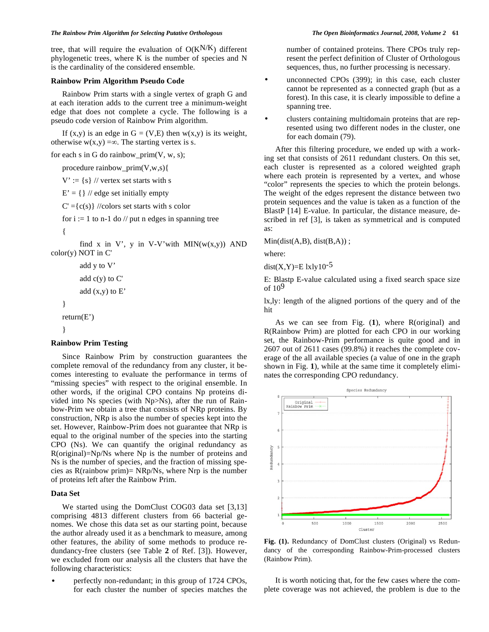tree, that will require the evaluation of  $O(K^{N/K})$  different phylogenetic trees, where K is the number of species and N is the cardinality of the considered ensemble.

### **Rainbow Prim Algorithm Pseudo Code**

 Rainbow Prim starts with a single vertex of graph G and at each iteration adds to the current tree a minimum-weight edge that does not complete a cycle. The following is a pseudo code version of Rainbow Prim algorithm.

If  $(x,y)$  is an edge in  $G = (V,E)$  then  $w(x,y)$  is its weight, otherwise  $w(x,y) = \infty$ . The starting vertex is s.

for each s in G do rainbow\_prim $(V, w, s)$ ;

procedure rainbow\_prim(V,w,s){

 $V' := \{s\}$  // vertex set starts with s

 $E' = \{\}\$  // edge set initially empty

 $C' = {c(s)} / {colors set starts with s color}$ 

for  $i := 1$  to n-1 do // put n edges in spanning tree

 $\left\{\right.$ 

}

}

find x in V', y in V-V'with  $MIN(w(x,y))$  AND color(y) NOT in C'

```
 add y to V' 
add c(y) to C'add (x,y) to E' return(E')
```
#### **Rainbow Prim Testing**

 Since Rainbow Prim by construction guarantees the complete removal of the redundancy from any cluster, it becomes interesting to evaluate the performance in terms of "missing species" with respect to the original ensemble. In other words, if the original CPO contains Np proteins divided into Ns species (with Np>Ns), after the run of Rainbow-Prim we obtain a tree that consists of NRp proteins. By construction, NRp is also the number of species kept into the set. However, Rainbow-Prim does not guarantee that NRp is equal to the original number of the species into the starting CPO (Ns). We can quantify the original redundancy as R(original)=Np/Ns where Np is the number of proteins and Ns is the number of species, and the fraction of missing species as R(rainbow prim)= NRp/Ns, where Nrp is the number of proteins left after the Rainbow Prim.

## **Data Set**

We started using the DomClust COG03 data set [3,13] comprising 4813 different clusters from 66 bacterial genomes. We chose this data set as our starting point, because the author already used it as a benchmark to measure, among other features, the ability of some methods to produce redundancy-free clusters (see Table **2** of Ref. [3]). However, we excluded from our analysis all the clusters that have the following characteristics:

• perfectly non-redundant; in this group of 1724 CPOs, for each cluster the number of species matches the number of contained proteins. There CPOs truly represent the perfect definition of Cluster of Orthologous sequences, thus, no further processing is necessary.

unconnected CPOs (399); in this case, each cluster cannot be represented as a connected graph (but as a forest). In this case, it is clearly impossible to define a spanning tree.

• clusters containing multidomain proteins that are represented using two different nodes in the cluster, one for each domain (79).

 After this filtering procedure, we ended up with a working set that consists of 2611 redundant clusters. On this set, each cluster is represented as a colored weighted graph where each protein is represented by a vertex, and whose "color" represents the species to which the protein belongs. The weight of the edges represent the distance between two protein sequences and the value is taken as a function of the BlastP [14] E-value. In particular, the distance measure, described in ref [3], is taken as symmetrical and is computed as:

 $Min(dist(A, B), dist(B, A))$ ;

where:

 $dist(X,Y)=E$  lxly10<sup>-5</sup>

E: Blastp E-value calculated using a fixed search space size of  $10<sup>9</sup>$ 

lx,ly: length of the aligned portions of the query and of the hit

 As we can see from Fig. (**1**), where R(original) and R(Rainbow Prim) are plotted for each CPO in our working set, the Rainbow-Prim performance is quite good and in 2607 out of 2611 cases (99.8%) it reaches the complete coverage of the all available species (a value of one in the graph shown in Fig. **1**), while at the same time it completely eliminates the corresponding CPO redundancy.



**Fig. (1).** Redundancy of DomClust clusters (Original) vs Redundancy of the corresponding Rainbow-Prim-processed clusters (Rainbow Prim).

 It is worth noticing that, for the few cases where the complete coverage was not achieved, the problem is due to the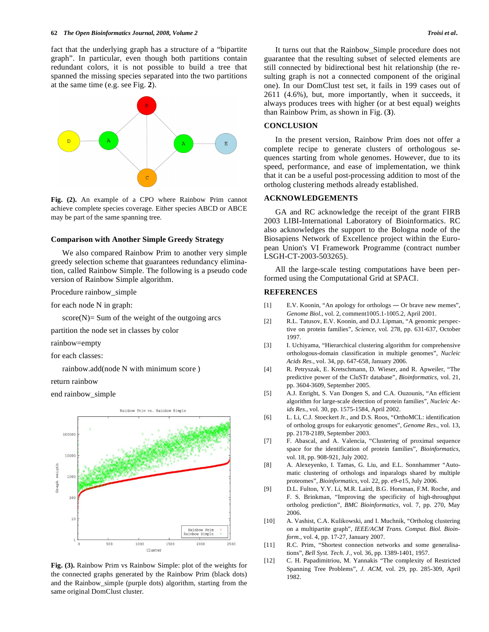fact that the underlying graph has a structure of a "bipartite graph". In particular, even though both partitions contain redundant colors, it is not possible to build a tree that spanned the missing species separated into the two partitions at the same time (e.g. see Fig. **2**).



**Fig. (2).** An example of a CPO where Rainbow Prim cannot achieve complete species coverage. Either species ABCD or ABCE may be part of the same spanning tree.

#### **Comparison with Another Simple Greedy Strategy**

 We also compared Rainbow Prim to another very simple greedy selection scheme that guarantees redundancy elimination, called Rainbow Simple. The following is a pseudo code version of Rainbow Simple algorithm.

Procedure rainbow\_simple

for each node N in graph:

 $score(N)$ = Sum of the weight of the outgoing arcs

partition the node set in classes by color

rainbow=empty

for each classes:

rainbow.add(node N with minimum score )

return rainbow

end rainbow\_simple



**Fig. (3).** Rainbow Prim vs Rainbow Simple: plot of the weights for the connected graphs generated by the Rainbow Prim (black dots) and the Rainbow\_simple (purple dots) algorithm, starting from the same original DomClust cluster.

 It turns out that the Rainbow\_Simple procedure does not guarantee that the resulting subset of selected elements are still connected by bidirectional best hit relationship (the resulting graph is not a connected component of the original one). In our DomClust test set, it fails in 199 cases out of 2611 (4.6%), but, more importantly, when it succeeds, it always produces trees with higher (or at best equal) weights than Rainbow Prim, as shown in Fig. (**3**).

## **CONCLUSION**

 In the present version, Rainbow Prim does not offer a complete recipe to generate clusters of orthologous sequences starting from whole genomes. However, due to its speed, performance, and ease of implementation, we think that it can be a useful post-processing addition to most of the ortholog clustering methods already established.

## **ACKNOWLEDGEMENTS**

 GA and RC acknowledge the receipt of the grant FIRB 2003 LIBI-International Laboratory of Bioinformatics. RC also acknowledges the support to the Bologna node of the Biosapiens Network of Excellence project within the European Union's VI Framework Programme (contract number LSGH-CT-2003-503265).

 All the large-scale testing computations have been performed using the Computational Grid at SPACI.

#### **REFERENCES**

- [1] E.V. Koonin, "An apology for orthologs Or brave new memes", *Genome Biol.*, vol. 2, comment1005.1-1005.2, April 2001.
- [2] R.L. Tatusov, E.V. Koonin, and D.J. Lipman, "A genomic perspective on protein families", *Science*, vol. 278, pp. 631-637, October 1997.
- [3] I. Uchiyama, "Hierarchical clustering algorithm for comprehensive orthologous-domain classification in multiple genomes", *Nucleic Acids Res.,* vol. 34, pp. 647-658, January 2006.
- [4] R. Petryszak, E. Kretschmann, D. Wieser, and R. Apweiler, "The predictive power of the CluSTr database", *Bioinformatics*, vol. 21, pp. 3604-3609, September 2005.
- [5] A.J. Enright, S. Van Dongen S, and C.A. Ouzounis, "An efficient algorithm for large-scale detection of protein families", *Nucleic Acids Res.,* vol. 30, pp. 1575-1584, April 2002.
- [6] L. Li, C.J. Stoeckert Jr., and D.S. Roos, "OrthoMCL: identification of ortholog groups for eukaryotic genomes", *Genome Res.*, vol. 13, pp. 2178-2189, September 2003.
- [7] F. Abascal, and A. Valencia, "Clustering of proximal sequence space for the identification of protein families", *Bioinformatics*, vol. 18, pp. 908-921, July 2002.
- [8] A. Alexeyenko, I. Tamas, G. Liu, and E.L. Sonnhammer "Automatic clustering of orthologs and inparalogs shared by multiple proteomes", *Bioinformatics,* vol. 22, pp. e9-e15, July 2006.
- [9] D.L. Fulton, Y.Y. Li, M.R. Laird, B.G. Horsman, F.M. Roche, and F. S. Brinkman, "Improving the specificity of high-throughput ortholog prediction", *BMC Bioinformatics,* vol. 7, pp. 270, May 2006.
- [10] A. Vashist, C.A. Kulikowski, and I. Muchnik, "Ortholog clustering on a multipartite graph", *IEEE/ACM Trans. Comput. Biol. Bioinform.,* vol. 4, pp. 17-27, January 2007.
- [11] R.C. Prim, "Shortest connection networks and some generalisations", *Bell Syst. Tech. J.,* vol*.* 36, pp. 1389-1401, 1957.
- [12] C. H. Papadimitriou, M. Yannakis "The complexity of Restricted Spanning Tree Problems", *J. ACM,* vol. 29, pp. 285-309, April 1982.